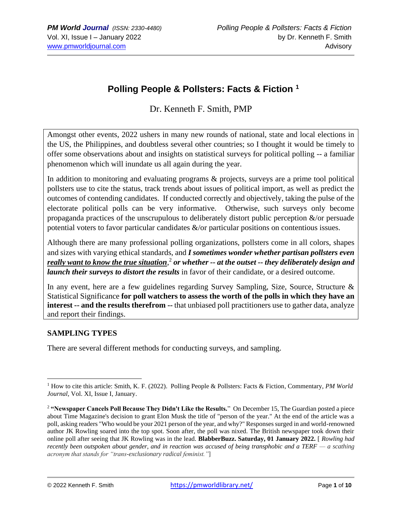# **Polling People & Pollsters: Facts & Fiction <sup>1</sup>**

Dr. Kenneth F. Smith, PMP

Amongst other events, 2022 ushers in many new rounds of national, state and local elections in the US, the Philippines, and doubtless several other countries; so I thought it would be timely to offer some observations about and insights on statistical surveys for political polling -- a familiar phenomenon which will inundate us all again during the year.

In addition to monitoring and evaluating programs & projects, surveys are a prime tool political pollsters use to cite the status, track trends about issues of political import, as well as predict the outcomes of contending candidates. If conducted correctly and objectively, taking the pulse of the electorate political polls can be very informative. Otherwise, such surveys only become propaganda practices of the unscrupulous to deliberately distort public perception  $\&$ /or persuade potential voters to favor particular candidates &/or particular positions on contentious issues.

Although there are many professional polling organizations, pollsters come in all colors, shapes and sizes with varying ethical standards, and *I sometimes wonder whether partisan pollsters even really want to know the true situation*, 2 *or whether -- at the outset -- they deliberately design and launch their surveys to distort the results* in favor of their candidate, or a desired outcome.

In any event, here are a few guidelines regarding Survey Sampling, Size, Source, Structure & Statistical Significance **for poll watchers to assess the worth of the polls in which they have an interest -- and the results therefrom --** that unbiased poll practitioners use to gather data, analyze and report their findings.

## **SAMPLING TYPES**

There are several different methods for conducting surveys, and sampling.

<sup>1</sup> How to cite this article: Smith, K. F. (2022). Polling People & Pollsters: Facts & Fiction, Commentary, *PM World Journal*, Vol. XI, Issue I, January.

<sup>2</sup> **"Newspaper Cancels Poll Because They Didn't Like the Results.**" On December 15, The Guardian posted a piece about Time Magazine's decision to grant Elon Musk the title of "person of the year." At the end of the article was a poll, asking readers "Who would be your 2021 person of the year, and why?" Responses surged in and world-renowned author JK Rowling soared into the top spot. Soon after, the poll was nixed. The British newspaper took down their online poll after seeing that JK Rowling was in the lead. **BlabberBuzz. Saturday, 01 January 2022.** [ *Rowling had recently been outspoken about gender, and in reaction was accused of being transphobic and a TERF — a scathing acronym that stands for "trans-exclusionary radical feminist."*]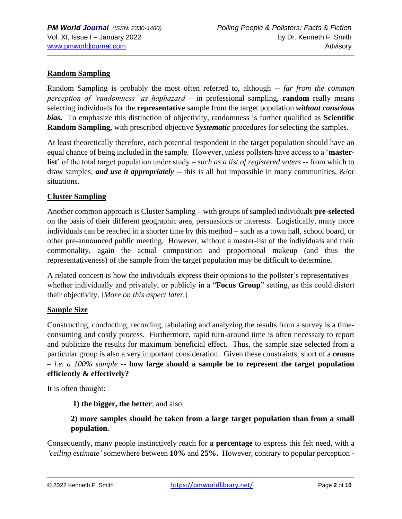# **Random Sampling**

Random Sampling is probably the most often referred to, although -- *far from the common perception of 'randomness' as haphazard* – in professional sampling, **random** really means selecting individuals for the **representative** sample from the target population *without conscious bias.* To emphasize this distinction of objectivity, randomness is further qualified as **Scientific Random Sampling,** with prescribed objective *Systematic* procedures for selecting the samples.

At least theoretically therefore, each potential respondent in the target population should have an equal chance of being included in the sample. However, unless pollsters have access to a '**masterlist**' of the total target population under study – *such as a list of registered voters* -- from which to draw samples; *and use it appropriately* -- this is all but impossible in many communities, &/or situations.

## **Cluster Sampling**

Another common approach is Cluster Sampling **–** with groups of sampled individuals **pre-selected** on the basis of their different geographic area, persuasions or interests. Logistically, many more individuals can be reached in a shorter time by this method – such as a town hall, school board, or other pre-announced public meeting*.* However, without a master-list of the individuals and their commonality, again the actual composition and proportional makeup (and thus the representativeness) of the sample from the target population may be difficult to determine.

A related concern is how the individuals express their opinions to the pollster's representatives – whether individually and privately, or publicly in a "**Focus Group**" setting, as this could distort their objectivity. [*More on this aspect later.*]

## **Sample Size**

Constructing, conducting, recording, tabulating and analyzing the results from a survey is a timeconsuming and costly process. Furthermore, rapid turn-around time is often necessary to report and publicize the results for maximum beneficial effect. Thus, the sample size selected from a particular group is also a very important consideration. Given these constraints, short of a **census** *– i.e. a 100% sample --* **how large should a sample be to represent the target population efficiently & effectively?**

It is often thought:

**1) the bigger, the better**; and also

# **2) more samples should be taken from a large target population than from a small population.**

Consequently, many people instinctively reach for **a percentage** to express this felt need, with a *'ceiling estimate'* somewhere between **10%** and **25%.** However, contrary to popular perception **-**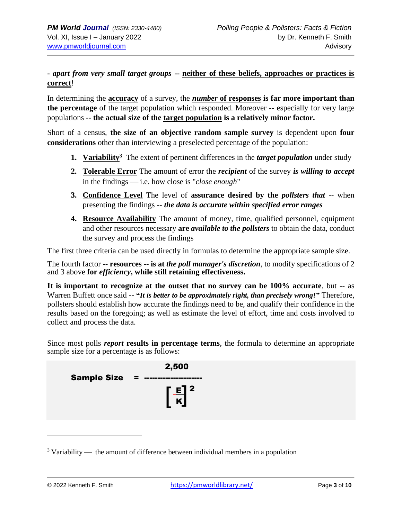# **-** *apart from very small target groups* **-- neither of these beliefs, approaches or practices is correct**!

In determining the **accuracy** of a survey, the *number* **of responses is far more important than the percentage** of the target population which responded. Moreover -- especially for very large populations -- **the actual size of the target population is a relatively minor factor.**

Short of a census, **the size of an objective random sample survey** is dependent upon **four considerations** other than interviewing a preselected percentage of the population:

- **1.** Variability<sup>3</sup> The extent of pertinent differences in the *target population* under study
- **2. Tolerable Error** The amount of error the *recipient* of the survey *is willing to accept* in the findings — i.e. how close is "*close enough*"
- **3. Confidence Level** The level of **assurance desired by the** *pollsters that* -- when presenting the findings -- *the data is accurate within specified error ranges*
- **4. Resource Availability** The amount of money, time, qualified personnel, equipment and other resources necessary **are** *available to the pollsters* to obtain the data, conduct the survey and process the findings

The first three criteria can be used directly in formulas to determine the appropriate sample size.

The fourth factor -- **resources -- is at** *the poll manager's discretion,* to modify specifications of 2 and 3 above **for** *efficiency***, while still retaining effectiveness.**

**It is important to recognize at the outset that no survey can be 100% accurate**, but -- as Warren Buffett once said -- **"***It is better to be approximately right, than precisely wrong!***"** Therefore, pollsters should establish how accurate the findings need to be, and qualify their confidence in the results based on the foregoing; as well as estimate the level of effort, time and costs involved to collect and process the data.

Since most polls *report* **results in percentage terms**, the formula to determine an appropriate sample size for a percentage is as follows:

|                    | 2,500                        |
|--------------------|------------------------------|
| <b>Sample Size</b> | $\sqrt{2}$ and $\sqrt{2}$    |
|                    | <u>[[</u> ]2<br>$\mathbf{K}$ |

 $3$  Variability — the amount of difference between individual members in a population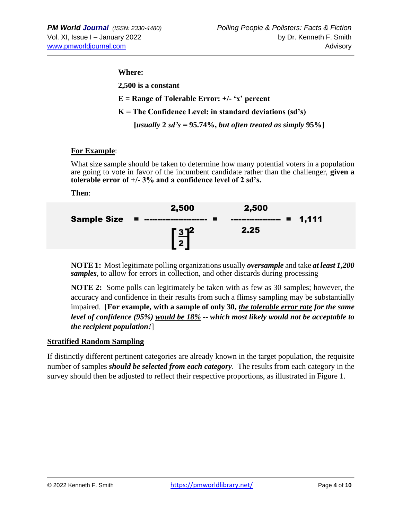#### **Where:**

**2,500 is a constant E = Range of Tolerable Error: +/- 'x' percent K = The Confidence Level: in standard deviations (sd's) [***usually* **2** *sd's =* **95.74%,** *but often treated as simply* **95%]** 

## **For Example**:

What size sample should be taken to determine how many potential voters in a population are going to vote in favor of the incumbent candidate rather than the challenger, **given a tolerable error of +/- 3% and a confidence level of 2 sd's.**

**Then**:

| <b>Sample Size = ----------</b> | 2,500<br>▬<br>,,,,,,,,,,,,,,,, | 2,500<br>----------------- = 1,111 |  |
|---------------------------------|--------------------------------|------------------------------------|--|
|                                 | $\sqrt{3}$<br>2 <sup>1</sup>   | 2.25                               |  |

**NOTE 1:** Most legitimate polling organizations usually *oversample* and take *at least 1,200 samples*, to allow for errors in collection, and other discards during processing

**NOTE 2:** Some polls can legitimately be taken with as few as 30 samples; however, the accuracy and confidence in their results from such a flimsy sampling may be substantially impaired. [**For example, with a sample of only 30,** *the tolerable error rate for the same level of confidence (95%) would be 18% -- which most likely would not be acceptable to the recipient population!*]

## **Stratified Random Sampling**

If distinctly different pertinent categories are already known in the target population, the requisite number of samples *should be selected from each category*. The results from each category in the survey should then be adjusted to reflect their respective proportions, as illustrated in Figure 1.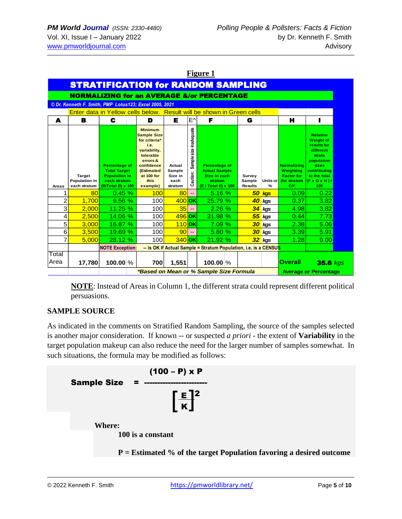|                                                                       |                                                        |                                                                                                          |  |                                                                                                                                                                      | Figure 1                                       |                                        |                                                                                                |                                    |               |                                                                            |                                                                                                                                                                           |  |  |
|-----------------------------------------------------------------------|--------------------------------------------------------|----------------------------------------------------------------------------------------------------------|--|----------------------------------------------------------------------------------------------------------------------------------------------------------------------|------------------------------------------------|----------------------------------------|------------------------------------------------------------------------------------------------|------------------------------------|---------------|----------------------------------------------------------------------------|---------------------------------------------------------------------------------------------------------------------------------------------------------------------------|--|--|
|                                                                       | <b>STRATIFICATION for RANDOM SAMPLING</b>              |                                                                                                          |  |                                                                                                                                                                      |                                                |                                        |                                                                                                |                                    |               |                                                                            |                                                                                                                                                                           |  |  |
| <b>NORMALIZING for an AVERAGE &amp;/or PERCENTAGE</b>                 |                                                        |                                                                                                          |  |                                                                                                                                                                      |                                                |                                        |                                                                                                |                                    |               |                                                                            |                                                                                                                                                                           |  |  |
|                                                                       | © Dr. Kenneth F. Smith, PMP Lotus123; Excel 2005, 2021 |                                                                                                          |  |                                                                                                                                                                      |                                                |                                        |                                                                                                |                                    |               |                                                                            |                                                                                                                                                                           |  |  |
| Enter data in Yellow cells below. Result will be shown in Green cells |                                                        |                                                                                                          |  |                                                                                                                                                                      |                                                |                                        |                                                                                                |                                    |               |                                                                            |                                                                                                                                                                           |  |  |
| A                                                                     | в                                                      | C                                                                                                        |  | D                                                                                                                                                                    | Е                                              | $E^{\wedge}$                           | F                                                                                              | G                                  |               | н                                                                          |                                                                                                                                                                           |  |  |
| Areas                                                                 | <b>Target</b><br>Population in<br>each stratum         | <b>Percentage of</b><br><b>Total Target</b><br><b>Population in</b><br>each stratum<br>(B/Total B) x 100 |  | <b>Minimum</b><br><b>Sample Size</b><br>for criteria*<br>i.e.<br>variability,<br>tolerable<br>errors &<br>confidence<br>(Estimated<br>at 100 for<br>this<br>example) | Actual<br>Sample<br>Size in<br>each<br>stratum | size inadequate<br>Sample:<br>Caution: | <b>Percentage of</b><br><b>Actual Sample</b><br>Size in each<br>stratum<br>(E / Total E) x 100 | Survey<br>Sample<br><b>Results</b> | Units or<br>% | <b>Normalizing</b><br>Weighting<br><b>Factor for</b><br>the stratum<br>C/F | <b>Relative</b><br><b>Weight of</b><br>results for<br>different<br>strata<br>population<br><b>sizes</b><br>contributing<br>to the total<br>$(F \times G \times H)$<br>100 |  |  |
| 1                                                                     | 80                                                     | 0.45%                                                                                                    |  | 100                                                                                                                                                                  | 80                                             | --                                     | 5.16%                                                                                          |                                    | 50 kgs        | 0.09                                                                       | 0.22                                                                                                                                                                      |  |  |
| $\overline{c}$                                                        | 1,700                                                  | 9.56%                                                                                                    |  | 100                                                                                                                                                                  | $400$ OK                                       |                                        | 25.79 %                                                                                        | 40                                 | kgs           | 0.37                                                                       | 3.82                                                                                                                                                                      |  |  |
| 3                                                                     | 2,000                                                  | 11.25 %                                                                                                  |  | 100                                                                                                                                                                  | 35                                             | $\sim$                                 | 2.26%                                                                                          | 34                                 | kas           | 4.98                                                                       | 3.82                                                                                                                                                                      |  |  |
| 4                                                                     | 2.500                                                  | 14.06 %                                                                                                  |  | 100                                                                                                                                                                  | 496 OK                                         |                                        | 31.98 %                                                                                        | 55 <sub>5</sub>                    | kgs           | 0.44                                                                       | 7.73                                                                                                                                                                      |  |  |
| 5                                                                     | 3,000                                                  | 16.87 %                                                                                                  |  | 100                                                                                                                                                                  | $110$ OK                                       |                                        | 7.09 %                                                                                         | 30 <sub>2</sub>                    | kgs           | 2.38                                                                       | 5.06                                                                                                                                                                      |  |  |
| 6                                                                     | 3,500                                                  | 19.69 %                                                                                                  |  | 100                                                                                                                                                                  | 90                                             | u.                                     | 5.80 %                                                                                         | 30 <sup>°</sup>                    | kgs           | 3.39                                                                       | 5.91                                                                                                                                                                      |  |  |
| 7                                                                     | 5,000                                                  | 28.12 %                                                                                                  |  | 100                                                                                                                                                                  | $340$ OK                                       |                                        | 21.92 %                                                                                        |                                    | 32 kgs        | 1.28                                                                       | 9.00                                                                                                                                                                      |  |  |
|                                                                       |                                                        | <b>NOTE Exception:</b>                                                                                   |  |                                                                                                                                                                      |                                                |                                        | -- is OK If Actual Sample = Stratum Population, i.e. is a CENSUS                               |                                    |               |                                                                            |                                                                                                                                                                           |  |  |
| Total<br>Area                                                         | 17,780                                                 | $100.00\%$                                                                                               |  | 700                                                                                                                                                                  | 1,551                                          |                                        | 100.00 %<br>*Based on Mean or % Sample Size Formula                                            |                                    |               | <b>Overall</b>                                                             | $35.6$ kgs<br><b>Average or Percentage</b>                                                                                                                                |  |  |

**NOTE**: Instead of Areas in Column 1, the different strata could represent different political persuasions.

## **SAMPLE SOURCE**

As indicated in the comments on Stratified Random Sampling, the source of the samples selected is another major consideration. If known -- or suspected *a priori* - the extent of **Variability** in the target population makeup can also reduce the need for the larger number of samples somewhat. In such situations, the formula may be modified as follows:

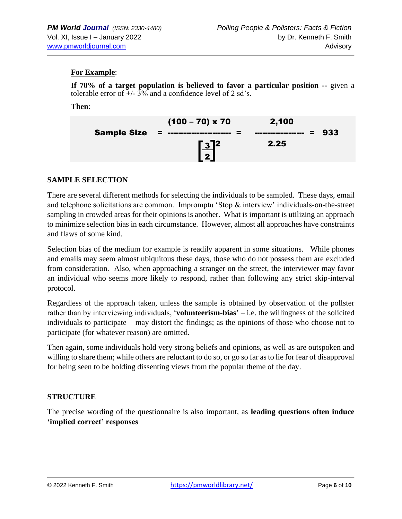## **For Example**:

**If 70% of a target population is believed to favor a particular position --** given a tolerable error of  $\frac{1}{2}$  +/-  $\frac{3}{6}$  and a confidence level of 2 sd's.

#### **Then**:

|                    | $(100 - 70) \times 70$                   | 2,100                     |     |
|--------------------|------------------------------------------|---------------------------|-----|
| <b>Sample Size</b> | - 2 ------<br>.                          | Ξ.<br>------------------- | 933 |
|                    | <u> 132  </u><br>$\overline{\mathbf{z}}$ | 2.25                      |     |
|                    |                                          |                           |     |

#### **SAMPLE SELECTION**

There are several different methods for selecting the individuals to be sampled. These days, email and telephone solicitations are common. Impromptu 'Stop & interview' individuals-on-the-street sampling in crowded areas for their opinions is another. What is important is utilizing an approach to minimize selection bias in each circumstance. However, almost all approaches have constraints and flaws of some kind.

Selection bias of the medium for example is readily apparent in some situations. While phones and emails may seem almost ubiquitous these days, those who do not possess them are excluded from consideration. Also, when approaching a stranger on the street, the interviewer may favor an individual who seems more likely to respond, rather than following any strict skip-interval protocol.

Regardless of the approach taken, unless the sample is obtained by observation of the pollster rather than by interviewing individuals, '**volunteerism-bias**' – i.e. the willingness of the solicited individuals to participate – may distort the findings; as the opinions of those who choose not to participate (for whatever reason) are omitted.

Then again, some individuals hold very strong beliefs and opinions, as well as are outspoken and willing to share them; while others are reluctant to do so, or go so far as to lie for fear of disapproval for being seen to be holding dissenting views from the popular theme of the day.

## **STRUCTURE**

The precise wording of the questionnaire is also important, as **leading questions often induce 'implied correct' responses**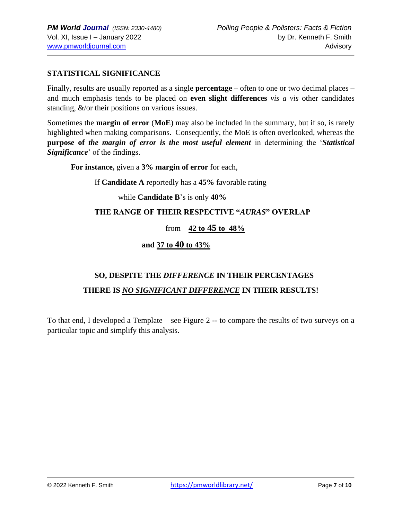# **STATISTICAL SIGNIFICANCE**

Finally, results are usually reported as a single **percentage** – often to one or two decimal places – and much emphasis tends to be placed on **even slight differences** *vis a vis* other candidates standing, &/or their positions on various issues.

Sometimes the **margin of error** (**MoE**) may also be included in the summary, but if so, is rarely highlighted when making comparisons. Consequently, the MoE is often overlooked, whereas the **purpose of** *the margin of error is the most useful element* in determining the '*Statistical Significance*' of the findings.

**For instance,** given a **3% margin of error** for each,

If **Candidate A** reportedly has a **45%** favorable rating

while **Candidate B**'s is only **40%**

# **THE RANGE OF THEIR RESPECTIVE "***AURAS***" OVERLAP**

## from **42 to 45 to 48%**

## **and 37 to 40 to 43%**

# **SO, DESPITE THE** *DIFFERENCE* **IN THEIR PERCENTAGES THERE IS** *NO SIGNIFICANT DIFFERENCE* **IN THEIR RESULTS!**

To that end, I developed a Template – see Figure 2 -- to compare the results of two surveys on a particular topic and simplify this analysis.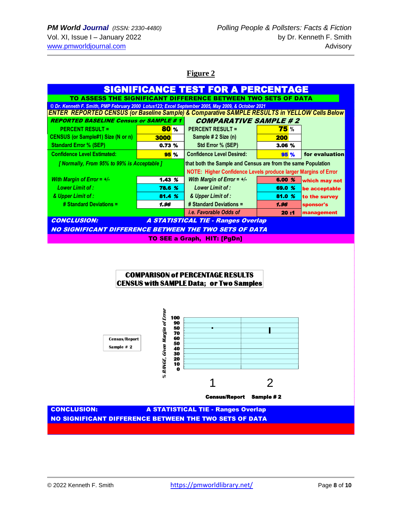**Figure 2**

| <b>SIGNIFICANCE TEST FOR A PERCENTAGE</b>                                                                                                                                                 |             |                                                                                                                                       |             |                                |  |  |  |  |
|-------------------------------------------------------------------------------------------------------------------------------------------------------------------------------------------|-------------|---------------------------------------------------------------------------------------------------------------------------------------|-------------|--------------------------------|--|--|--|--|
| TO ASSESS THE SIGNIFICANT DIFFERENCE BETWEEN TWO SETS OF DATA                                                                                                                             |             |                                                                                                                                       |             |                                |  |  |  |  |
| © Dr. Kenneth F. Smith, PMP February 2000 Lotus123: Excel September 2005, May 2009, & October 2021                                                                                        |             |                                                                                                                                       |             |                                |  |  |  |  |
| <b>ENTER REPORTED CENSUS (or Baseline Sample) &amp; Comparative SAMPLE RESULTS in YELLOW Cells Below</b><br><b>COMPARATIVE SAMPLE #2</b><br><b>REPORTED BASELINE Census or SAMPLE # 1</b> |             |                                                                                                                                       |             |                                |  |  |  |  |
| <b>PERCENT RESULT =</b>                                                                                                                                                                   | <b>80 %</b> | <b>PERCENT RESULT =</b>                                                                                                               | <b>75</b> % |                                |  |  |  |  |
| <b>CENSUS (or Sample#1) Size (N or n)</b>                                                                                                                                                 | 3000        | Sample # 2 Size (n)                                                                                                                   | <b>200</b>  |                                |  |  |  |  |
| <b>Standard Error % (SEP)</b>                                                                                                                                                             | 0.73%       | Std Error % (SEP)                                                                                                                     | 3.06 %      |                                |  |  |  |  |
| <b>Confidence Level Estimated:</b>                                                                                                                                                        | <b>95 %</b> | <b>Confidence Level Desired:</b>                                                                                                      | <b>95 %</b> | for evaluation                 |  |  |  |  |
|                                                                                                                                                                                           |             |                                                                                                                                       |             |                                |  |  |  |  |
| [ Normally, From 95% to 99% is Acceptable ]                                                                                                                                               |             | that both the Sample and Census are from the same Population<br><b>NOTE: Higher Confidence Levels produce larger Margins of Error</b> |             |                                |  |  |  |  |
| With Margin of Error = $+/-$                                                                                                                                                              | $1.43\,$ %  | With Margin of Error = $+/-$                                                                                                          | 6.00 %      |                                |  |  |  |  |
| <b>Lower Limit of:</b>                                                                                                                                                                    | 78.6 %      | Lower Limit of :                                                                                                                      | 69.0 %      | which may not<br>be acceptable |  |  |  |  |
| & Upper Limit of :                                                                                                                                                                        | 81.4%       | & Upper Limit of :                                                                                                                    | 81.0 %      | to the survey                  |  |  |  |  |
| # Standard Deviations =                                                                                                                                                                   | 1.96        | # Standard Deviations =                                                                                                               | 1.96        | sponsor's                      |  |  |  |  |
|                                                                                                                                                                                           |             | <i>i.e. Favorable Odds of</i>                                                                                                         | 20:1        | management                     |  |  |  |  |
| <b>CONCLUSION:</b>                                                                                                                                                                        |             | <b>A STATISTICAL TIE - Ranges Overlap</b>                                                                                             |             |                                |  |  |  |  |
| NO SIGNIFICANT DIFFERENCE BETWEEN THE TWO SETS OF DATA                                                                                                                                    |             |                                                                                                                                       |             |                                |  |  |  |  |
| <b>TO SEE a Graph, HIT: [PgDn]</b>                                                                                                                                                        |             |                                                                                                                                       |             |                                |  |  |  |  |
|                                                                                                                                                                                           |             |                                                                                                                                       |             |                                |  |  |  |  |

## **COMPARISON of PERCENTAGE RESULTS CENSUS with SAMPLE Data; or Two Samples**



 CONCLUSION: A STATISTICAL TIE - Ranges Overlap NO SIGNIFICANT DIFFERENCE BETWEEN THE TWO SETS OF DATA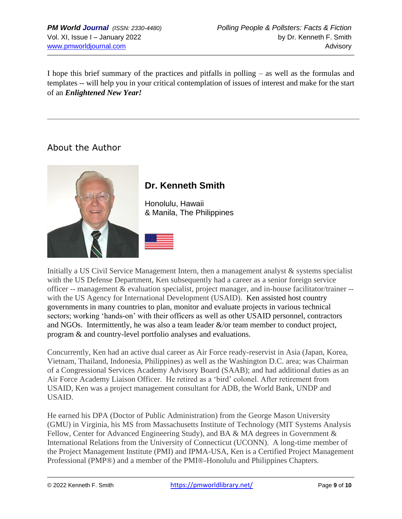I hope this brief summary of the practices and pitfalls in polling – as well as the formulas and templates -- will help you in your critical contemplation of issues of interest and make for the start of an *Enlightened New Year!*

# About the Author



# **Dr. Kenneth Smith**

Honolulu, Hawaii & Manila, The Philippines



Initially a US Civil Service Management Intern, then a management analyst & systems specialist with the US Defense Department, Ken subsequently had a career as a senior foreign service officer -- management & evaluation specialist, project manager, and in-house facilitator/trainer - with the US Agency for International Development (USAID). Ken assisted host country governments in many countries to plan, monitor and evaluate projects in various technical sectors; working 'hands-on' with their officers as well as other USAID personnel, contractors and NGOs. Intermittently, he was also a team leader  $\&$ /or team member to conduct project, program & and country-level portfolio analyses and evaluations.

Concurrently, Ken had an active dual career as Air Force ready-reservist in Asia (Japan, Korea, Vietnam, Thailand, Indonesia, Philippines) as well as the Washington D.C. area; was Chairman of a Congressional Services Academy Advisory Board (SAAB); and had additional duties as an Air Force Academy Liaison Officer. He retired as a 'bird' colonel. After retirement from USAID, Ken was a project management consultant for ADB, the World Bank, UNDP and USAID.

He earned his DPA (Doctor of Public Administration) from the George Mason University (GMU) in Virginia, his MS from Massachusetts Institute of Technology (MIT Systems Analysis Fellow, Center for Advanced Engineering Study), and BA & MA degrees in Government & International Relations from the University of Connecticut (UCONN). A long-time member of the Project Management Institute (PMI) and IPMA-USA, Ken is a Certified Project Management Professional (PMP®) and a member of the PMI®-Honolulu and Philippines Chapters.